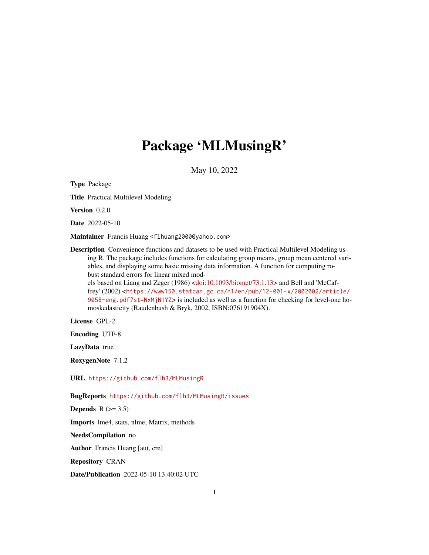# Package 'MLMusingR'

May 10, 2022

Type Package Title Practical Multilevel Modeling Version 0.2.0 Date 2022-05-10 Maintainer Francis Huang <f1huang2000@yahoo.com> Description Convenience functions and datasets to be used with Practical Multilevel Modeling using R. The package includes functions for calculating group means, group mean centered variables, and displaying some basic missing data information. A function for computing robust standard errors for linear mixed models based on Liang and Zeger (1986) [<doi:10.1093/biomet/73.1.13>](https://doi.org/10.1093/biomet/73.1.13) and Bell and 'McCaffrey' (2002) <[https://www150.statcan.gc.ca/n1/en/pub/12-001-x/2002002/article/](https://www150.statcan.gc.ca/n1/en/pub/12-001-x/2002002/article/9058-eng.pdf?st=NxMjN1YZ) [9058-eng.pdf?st=NxMjN1YZ](https://www150.statcan.gc.ca/n1/en/pub/12-001-x/2002002/article/9058-eng.pdf?st=NxMjN1YZ)> is included as well as a function for checking for level-one homoskedasticity (Raudenbush & Bryk, 2002, ISBN:076191904X).

License GPL-2

Encoding UTF-8

LazyData true

RoxygenNote 7.1.2

URL <https://github.com/flh3/MLMusingR>

BugReports <https://github.com/flh3/MLMusingR/issues>

Depends  $R$  ( $>= 3.5$ )

Imports lme4, stats, nlme, Matrix, methods

NeedsCompilation no

Author Francis Huang [aut, cre]

Repository CRAN

Date/Publication 2022-05-10 13:40:02 UTC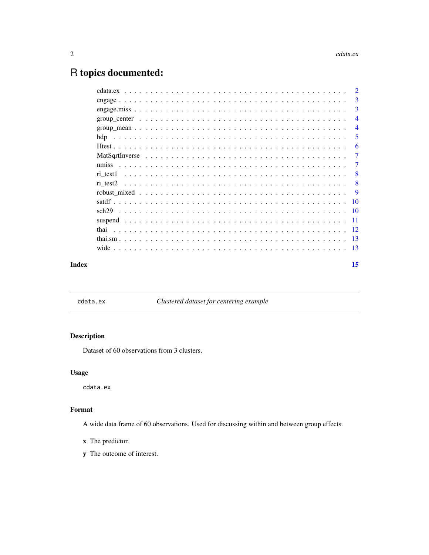## <span id="page-1-0"></span>R topics documented:

|       |                                                                                                                     | 3              |
|-------|---------------------------------------------------------------------------------------------------------------------|----------------|
|       |                                                                                                                     | $\overline{3}$ |
|       |                                                                                                                     | $\overline{4}$ |
|       | $group\_mean \dots \dots \dots \dots \dots \dots \dots \dots \dots \dots \dots \dots \dots \dots \dots \dots \dots$ | $\overline{4}$ |
|       |                                                                                                                     | 5              |
|       |                                                                                                                     | 6              |
|       |                                                                                                                     | $\overline{7}$ |
|       |                                                                                                                     | $\overline{7}$ |
|       |                                                                                                                     | -8             |
|       |                                                                                                                     | -8             |
|       |                                                                                                                     | -9             |
|       |                                                                                                                     |                |
|       |                                                                                                                     |                |
|       |                                                                                                                     |                |
|       |                                                                                                                     |                |
|       |                                                                                                                     |                |
|       |                                                                                                                     |                |
| Index |                                                                                                                     | 15             |

cdata.ex *Clustered dataset for centering example*

### Description

Dataset of 60 observations from 3 clusters.

#### Usage

cdata.ex

### Format

A wide data frame of 60 observations. Used for discussing within and between group effects.

- x The predictor.
- y The outcome of interest.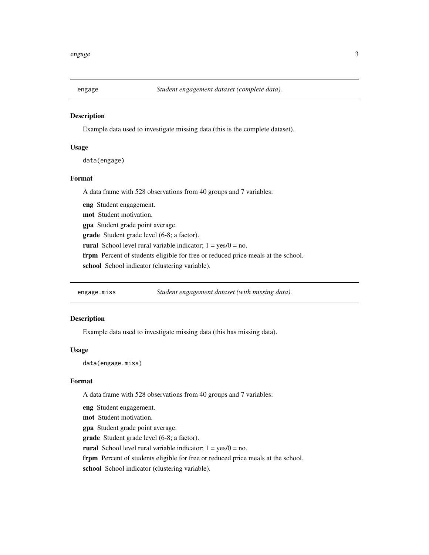<span id="page-2-0"></span>

Example data used to investigate missing data (this is the complete dataset).

#### Usage

data(engage)

#### Format

A data frame with 528 observations from 40 groups and 7 variables:

eng Student engagement.

mot Student motivation.

gpa Student grade point average.

grade Student grade level (6-8; a factor).

rural School level rural variable indicator;  $1 = yes/0 = no$ .

frpm Percent of students eligible for free or reduced price meals at the school.

school School indicator (clustering variable).

engage.miss *Student engagement dataset (with missing data).*

#### Description

Example data used to investigate missing data (this has missing data).

#### Usage

data(engage.miss)

#### Format

A data frame with 528 observations from 40 groups and 7 variables:

eng Student engagement.

mot Student motivation.

gpa Student grade point average.

grade Student grade level (6-8; a factor).

rural School level rural variable indicator;  $1 = yes/0 = no$ .

frpm Percent of students eligible for free or reduced price meals at the school.

school School indicator (clustering variable).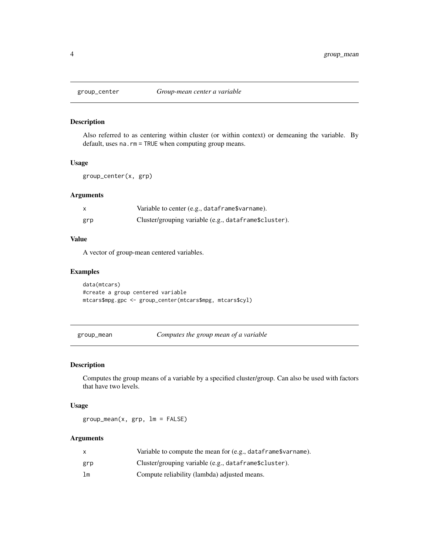<span id="page-3-0"></span>

Also referred to as centering within cluster (or within context) or demeaning the variable. By default, uses na.rm = TRUE when computing group means.

#### Usage

group\_center(x, grp)

#### Arguments

|     | Variable to center (e.g., dataframe\$varname).        |
|-----|-------------------------------------------------------|
| grp | Cluster/grouping variable (e.g., dataframe\$cluster). |

#### Value

A vector of group-mean centered variables.

#### Examples

```
data(mtcars)
#create a group centered variable
mtcars$mpg.gpc <- group_center(mtcars$mpg, mtcars$cyl)
```
group\_mean *Computes the group mean of a variable*

#### Description

Computes the group means of a variable by a specified cluster/group. Can also be used with factors that have two levels.

#### Usage

group\_mean(x, grp, lm = FALSE)

#### Arguments

|     | Variable to compute the mean for (e.g., dataframe\$varname). |
|-----|--------------------------------------------------------------|
| grp | Cluster/grouping variable (e.g., dataframe\$cluster).        |
| lm  | Compute reliability (lambda) adjusted means.                 |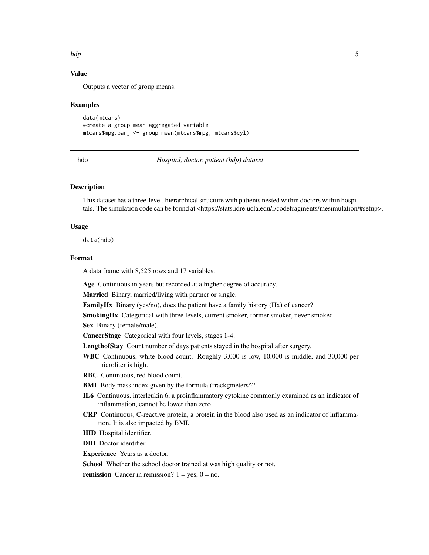#### <span id="page-4-0"></span>hdp 5

### Value

Outputs a vector of group means.

#### Examples

```
data(mtcars)
#create a group mean aggregated variable
mtcars$mpg.barj <- group_mean(mtcars$mpg, mtcars$cyl)
```
hdp *Hospital, doctor, patient (hdp) dataset*

#### **Description**

This dataset has a three-level, hierarchical structure with patients nested within doctors within hospitals. The simulation code can be found at <https://stats.idre.ucla.edu/r/codefragments/mesimulation/#setup>.

#### Usage

data(hdp)

#### Format

A data frame with 8,525 rows and 17 variables:

Age Continuous in years but recorded at a higher degree of accuracy.

Married Binary, married/living with partner or single.

FamilyHx Binary (yes/no), does the patient have a family history (Hx) of cancer?

SmokingHx Categorical with three levels, current smoker, former smoker, never smoked.

Sex Binary (female/male).

CancerStage Categorical with four levels, stages 1-4.

LengthofStay Count number of days patients stayed in the hospital after surgery.

WBC Continuous, white blood count. Roughly 3,000 is low, 10,000 is middle, and 30,000 per microliter is high.

RBC Continuous, red blood count.

- BMI Body mass index given by the formula (frackgmeters<sup>^2</sup>.
- IL6 Continuous, interleukin 6, a proinflammatory cytokine commonly examined as an indicator of inflammation, cannot be lower than zero.
- CRP Continuous, C-reactive protein, a protein in the blood also used as an indicator of inflammation. It is also impacted by BMI.
- HID Hospital identifier.

DID Doctor identifier

Experience Years as a doctor.

School Whether the school doctor trained at was high quality or not.

**remission** Cancer in remission?  $1 = yes$ ,  $0 = no$ .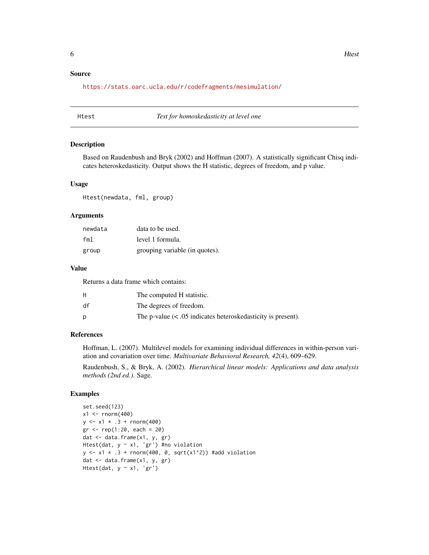#### <span id="page-5-0"></span>Source

<https://stats.oarc.ucla.edu/r/codefragments/mesimulation/>

Htest *Test for homoskedasticity at level one*

#### Description

Based on Raudenbush and Bryk (2002) and Hoffman (2007). A statistically significant Chisq indicates heteroskedasticity. Output shows the H statistic, degrees of freedom, and p value.

#### Usage

Htest(newdata, fml, group)

#### Arguments

| newdata | data to be used.               |
|---------|--------------------------------|
| fml     | level 1 formula.               |
| group   | grouping variable (in quotes). |

#### Value

Returns a data frame which contains:

| н  | The computed H statistic.                                      |
|----|----------------------------------------------------------------|
| df | The degrees of freedom.                                        |
| D  | The p-value $(< .05$ indicates heteroskedasticity is present). |

#### References

Hoffman, L. (2007). Multilevel models for examining individual differences in within-person variation and covariation over time. *Multivariate Behavioral Research, 42*(4), 609–629.

Raudenbush, S., & Bryk, A. (2002). *Hierarchical linear models: Applications and data analysis methods (2nd ed.)*. Sage.

#### Examples

```
set.seed(123)
x1 <- rnorm(400)y \le -x1 \times .3 + \text{rnorm}(400)gr <- rep(1:20, each = 20)dat <- data.frame(x1, y, gr)
Htest(dat, y ~ x1, 'gr') #no violation
y \le -x1 \times .3 + \text{norm}(400, 0, \text{sqrt}(x1^2)) #add violation
dat <- data.frame(x1, y, gr)
Htest(dat, y \sim x1, 'gr')
```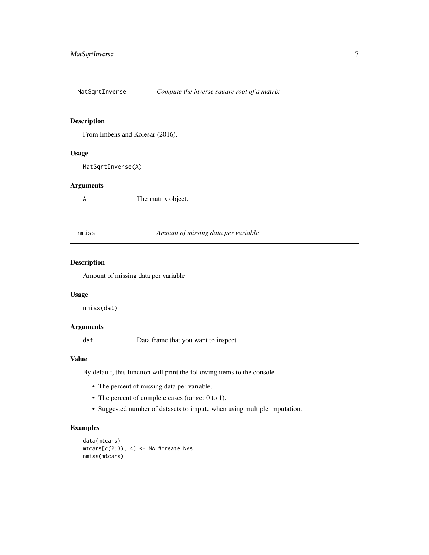<span id="page-6-0"></span>

From Imbens and Kolesar (2016).

#### Usage

MatSqrtInverse(A)

#### Arguments

A The matrix object.

nmiss *Amount of missing data per variable*

#### Description

Amount of missing data per variable

#### Usage

nmiss(dat)

#### Arguments

dat Data frame that you want to inspect.

#### Value

By default, this function will print the following items to the console

- The percent of missing data per variable.
- The percent of complete cases (range: 0 to 1).
- Suggested number of datasets to impute when using multiple imputation.

#### Examples

```
data(mtcars)
mtcars[c(2:3), 4] <- NA #create NAs
nmiss(mtcars)
```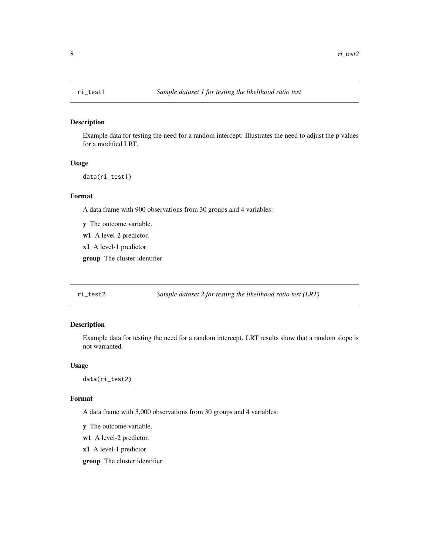<span id="page-7-0"></span>

Example data for testing the need for a random intercept. Illustrates the need to adjust the p values for a modified LRT.

#### Usage

data(ri\_test1)

#### Format

A data frame with 900 observations from 30 groups and 4 variables:

y The outcome variable.

w1 A level-2 predictor.

x1 A level-1 predictor

group The cluster identifier

ri\_test2 *Sample dataset 2 for testing the likelihood ratio test (LRT)*

#### Description

Example data for testing the need for a random intercept. LRT results show that a random slope is not warranted.

#### Usage

data(ri\_test2)

#### Format

A data frame with 3,000 observations from 30 groups and 4 variables:

y The outcome variable.

w1 A level-2 predictor.

x1 A level-1 predictor

group The cluster identifier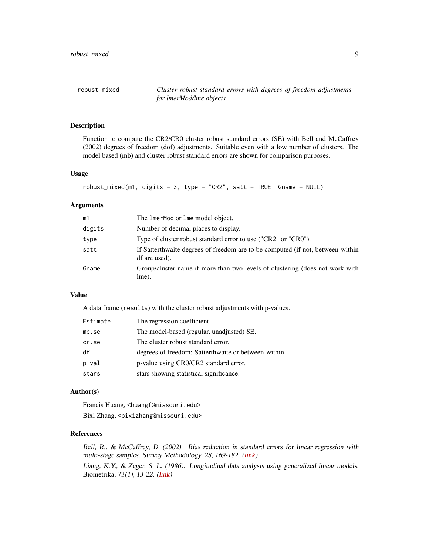<span id="page-8-0"></span>robust\_mixed *Cluster robust standard errors with degrees of freedom adjustments for lmerMod/lme objects*

#### Description

Function to compute the CR2/CR0 cluster robust standard errors (SE) with Bell and McCaffrey (2002) degrees of freedom (dof) adjustments. Suitable even with a low number of clusters. The model based (mb) and cluster robust standard errors are shown for comparison purposes.

#### Usage

```
robust_mixed(m1, digits = 3, type = "CR2", satt = TRUE, Gname = NULL)
```
#### **Arguments**

| m1     | The ImerMod or Ime model object.                                                                |
|--------|-------------------------------------------------------------------------------------------------|
| digits | Number of decimal places to display.                                                            |
| type   | Type of cluster robust standard error to use ("CR2" or "CR0").                                  |
| satt   | If Satterthwaite degrees of freedom are to be computed (if not, between-within<br>df are used). |
| Gname  | Group/cluster name if more than two levels of clustering (does not work with<br>lme).           |

#### Value

A data frame (results) with the cluster robust adjustments with p-values.

| Estimate | The regression coefficient.                          |
|----------|------------------------------------------------------|
| mb.se    | The model-based (regular, unadjusted) SE.            |
| cr.se    | The cluster robust standard error.                   |
| df       | degrees of freedom: Satterthwaite or between-within. |
| p.val    | p-value using CR0/CR2 standard error.                |
| stars    | stars showing statistical significance.              |

#### Author(s)

Francis Huang, <huangf@missouri.edu> Bixi Zhang, <bixizhang@missouri.edu>

#### References

Bell, R., & McCaffrey, D. (2002). Bias reduction in standard errors for linear regression with multi-stage samples. Survey Methodology, 28, 169-182. [\(link\)](https://www150.statcan.gc.ca/n1/pub/12-001-x/2002002/article/9058-eng.pdf)

Liang, K.Y., & Zeger, S. L. (1986). Longitudinal data analysis using generalized linear models. Biometrika, 73(1), 13-22. [\(link\)](https://academic.oup.com/biomet/article/73/1/13/246001)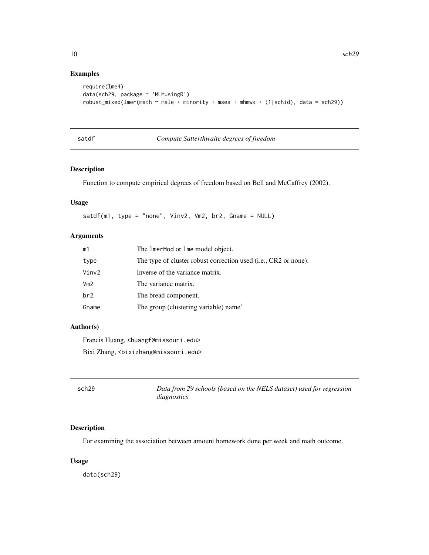#### Examples

```
require(lme4)
data(sch29, package = 'MLMusingR')
robust_mixed(lmer(math ~ male + minority + mses + mhmwk + (1|schid), data = sch29))
```

| satdf | Compute Satterthwaite degrees of freedom |
|-------|------------------------------------------|
|-------|------------------------------------------|

#### Description

Function to compute empirical degrees of freedom based on Bell and McCaffrey (2002).

#### Usage

satdf(m1, type = "none", Vinv2, Vm2, br2, Gname = NULL)

#### Arguments

| The lmerMod or lme model object.                                |
|-----------------------------------------------------------------|
| The type of cluster robust correction used (i.e., CR2 or none). |
| Inverse of the variance matrix.                                 |
| The variance matrix.                                            |
| The bread component.                                            |
| The group (clustering variable) name'                           |
|                                                                 |

#### Author(s)

Francis Huang, <huangf@missouri.edu> Bixi Zhang, <bixizhang@missouri.edu>

| sch <sub>29</sub> | Data from 29 schools (based on the NELS dataset) used for regression |
|-------------------|----------------------------------------------------------------------|
|                   | diagnostics                                                          |

#### Description

For examining the association between amount homework done per week and math outcome.

#### Usage

data(sch29)

<span id="page-9-0"></span>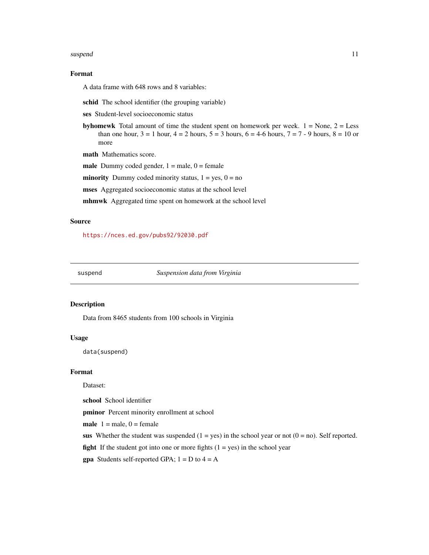#### <span id="page-10-0"></span>suspend that the subset of the set of the set of the set of the set of the set of the set of the set of the set of the set of the set of the set of the set of the set of the set of the set of the set of the set of the set

#### Format

A data frame with 648 rows and 8 variables:

schid The school identifier (the grouping variable)

ses Student-level socioeconomic status

**byhomewk** Total amount of time the student spent on homework per week.  $1 = \text{None}$ ,  $2 = \text{Less}$ than one hour,  $3 = 1$  hour,  $4 = 2$  hours,  $5 = 3$  hours,  $6 = 4-6$  hours,  $7 = 7 - 9$  hours,  $8 = 10$  or more

math Mathematics score.

male Dummy coded gender,  $1 =$  male,  $0 =$  female

**minority** Dummy coded minority status,  $1 = yes$ ,  $0 = no$ 

mses Aggregated socioeconomic status at the school level

mhmwk Aggregated time spent on homework at the school level

#### Source

<https://nces.ed.gov/pubs92/92030.pdf>

suspend *Suspension data from Virginia*

#### Description

Data from 8465 students from 100 schools in Virginia

#### Usage

data(suspend)

#### Format

Dataset:

school School identifier

pminor Percent minority enrollment at school

male  $1 =$  male,  $0 =$  female

sus Whether the student was suspended  $(1 = yes)$  in the school year or not  $(0 = no)$ . Self reported.

**fight** If the student got into one or more fights  $(1 = yes)$  in the school year

**gpa** Students self-reported GPA;  $1 = D$  to  $4 = A$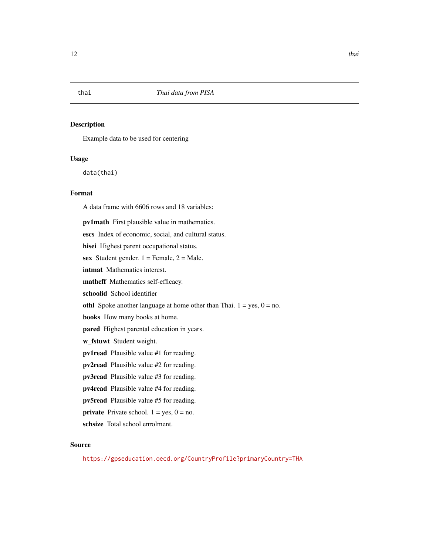<span id="page-11-0"></span>Example data to be used for centering

#### Usage

data(thai)

#### Format

A data frame with 6606 rows and 18 variables: pv1math First plausible value in mathematics. escs Index of economic, social, and cultural status. hisei Highest parent occupational status. sex Student gender.  $1 =$  Female,  $2 =$  Male. intmat Mathematics interest. matheff Mathematics self-efficacy. schoolid School identifier othl Spoke another language at home other than Thai.  $1 = yes$ ,  $0 = no$ . books How many books at home. pared Highest parental education in years. w\_fstuwt Student weight. pv1read Plausible value #1 for reading. pv2read Plausible value #2 for reading. pv3read Plausible value #3 for reading. pv4read Plausible value #4 for reading. pv5read Plausible value #5 for reading. **private** Private school.  $1 = yes$ ,  $0 = no$ . schsize Total school enrolment.

#### Source

<https://gpseducation.oecd.org/CountryProfile?primaryCountry=THA>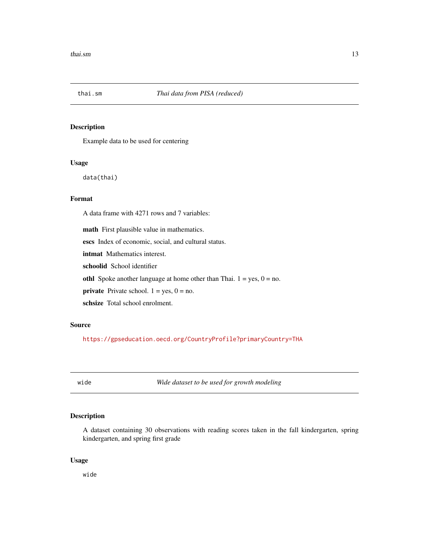<span id="page-12-0"></span>

Example data to be used for centering

#### Usage

data(thai)

#### Format

A data frame with 4271 rows and 7 variables:

math First plausible value in mathematics.

escs Index of economic, social, and cultural status.

intmat Mathematics interest.

schoolid School identifier

othl Spoke another language at home other than Thai.  $1 = yes$ ,  $0 = no$ .

**private** Private school.  $1 = yes$ ,  $0 = no$ .

schsize Total school enrolment.

#### Source

<https://gpseducation.oecd.org/CountryProfile?primaryCountry=THA>

wide *Wide dataset to be used for growth modeling*

#### Description

A dataset containing 30 observations with reading scores taken in the fall kindergarten, spring kindergarten, and spring first grade

#### Usage

wide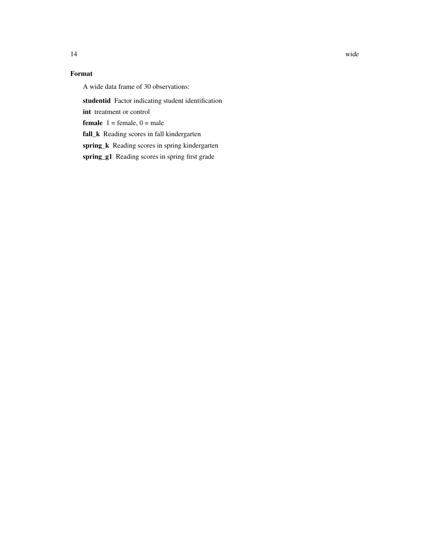### Format

A wide data frame of 30 observations:

studentid Factor indicating student identification

int treatment or control

**female**  $1 =$  female,  $0 =$  male

fall\_k Reading scores in fall kindergarten

spring\_k Reading scores in spring kindergarten

spring\_g1 Reading scores in spring first grade